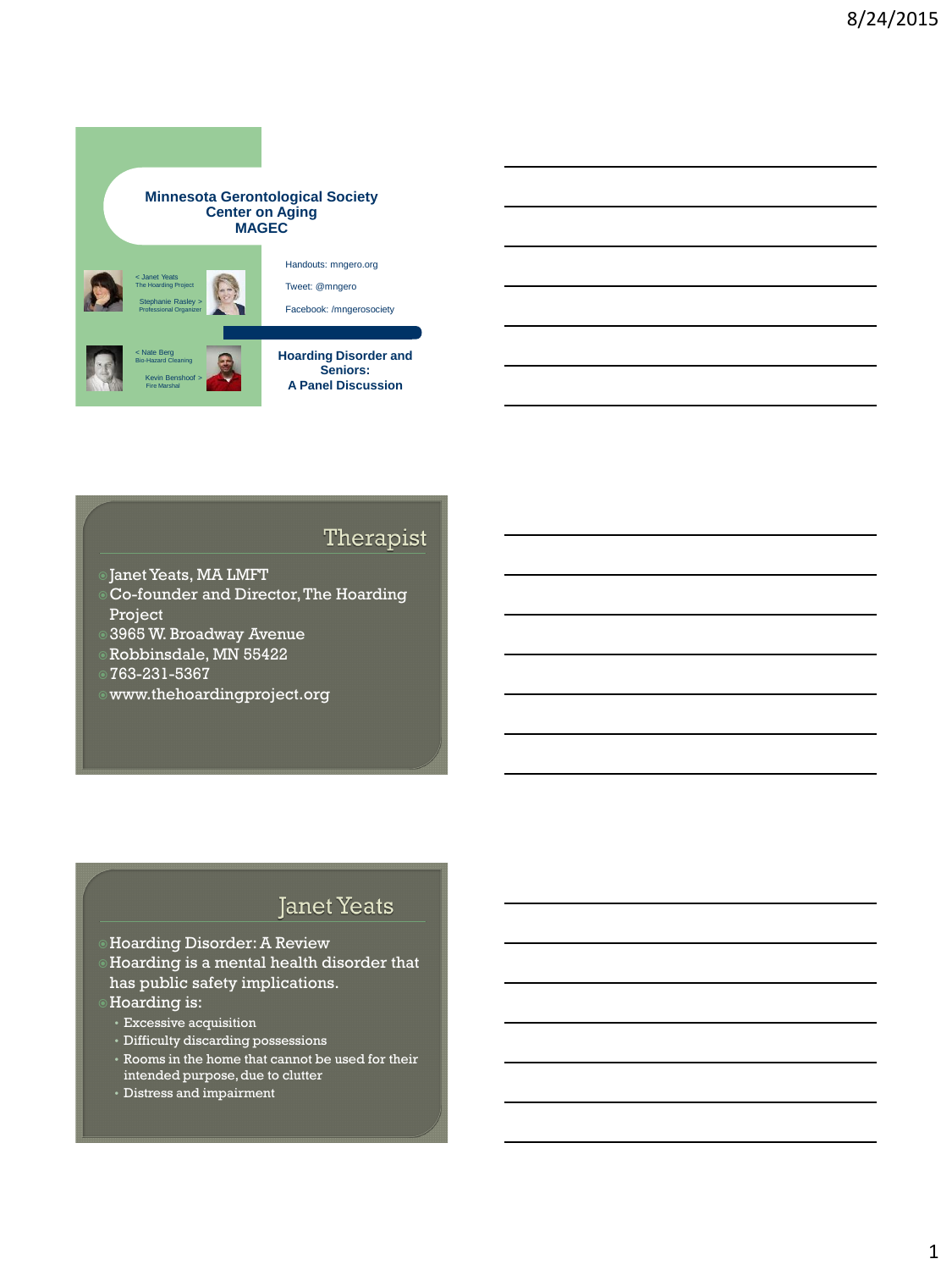#### **Minnesota Gerontological Society Center on Aging MAGEC**



### Therapist

- Janet Yeats, MA LMFT
- Co-founder and Director, The Hoarding Project
- 3965 W. Broadway Avenue
- Robbinsdale, MN 55422
- 763-231-5367
- www.thehoardingproject.org

#### **Janet Yeats**

- Hoarding Disorder: A Review
- Hoarding is a mental health disorder that has public safety implications.
- Hoarding is:
- Excessive acquisition
- Difficulty discarding possessions
- Rooms in the home that cannot be used for their intended purpose, due to clutter
- Distress and impairment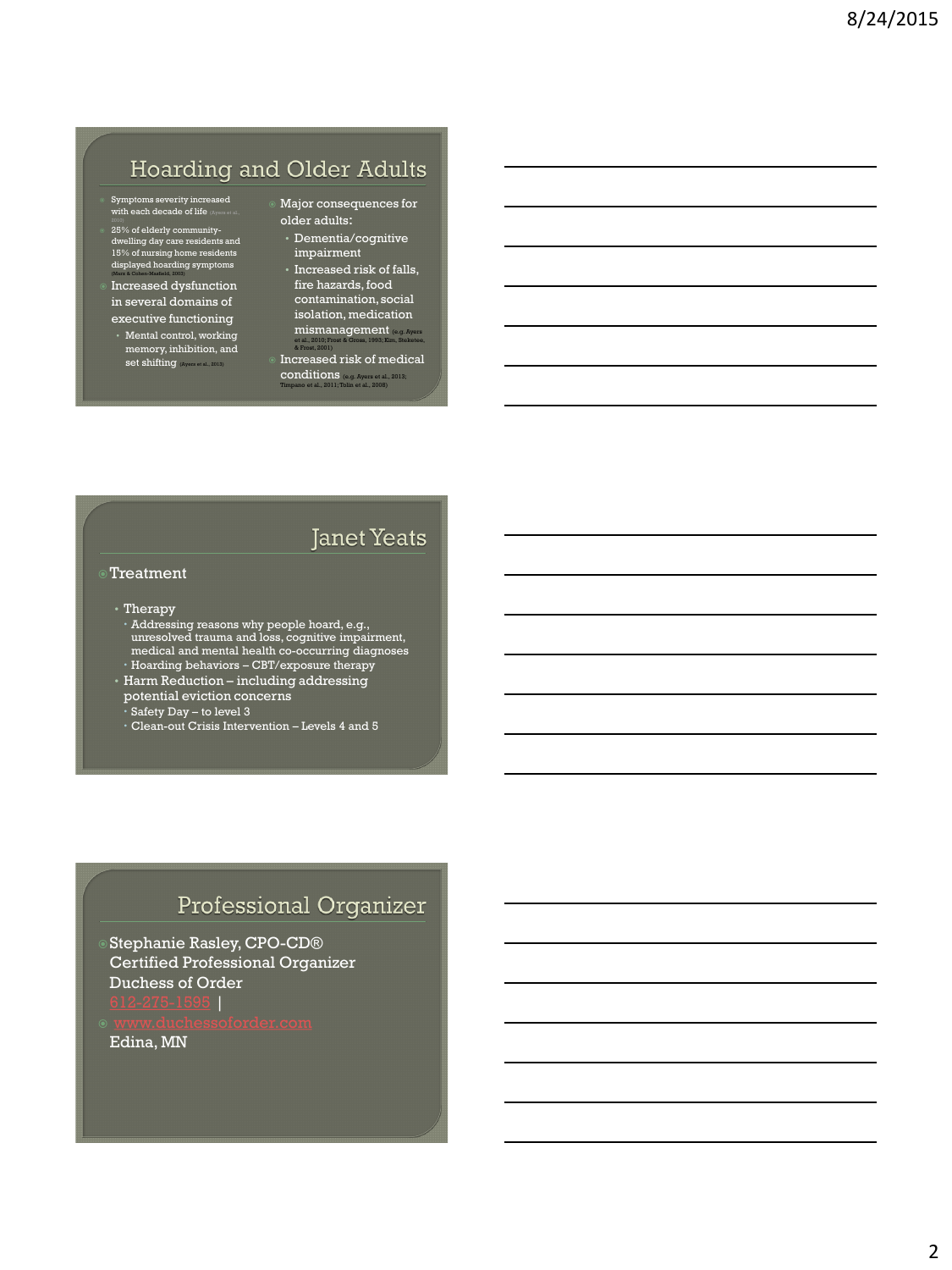# Hoarding and Older Adults

- Symptoms severity increased with each decade of life (Ayers et al.,
- 25% of elderly community-<br>dwelling day care residents and<br>15% of nursing home residents<br>displayed hoarding symptoms
- Increased dysfunction in several domains of
- executive functioning • Mental control, working memory, inhibition, and<br>set shifting
- Major consequences for older adults:
- Dementia/cognitive impairment
- Increased risk of falls, fire hazards, food contamination, social isolation, medication mismanagement (e.g. Ayers et al., 2010; Frost & Gross, 1993; Kim, Steketee, & Frost, 2001)
- Increased risk of medical conditions (e.g. Ayers et al., 2013; Timpano et al., 2011; Tolin et al., 2008)

#### **Janet Yeats**

# Treatment

#### • Therapy

- Addressing reasons why people hoard, e.g., unresolved trauma and loss, cognitive impairment, medical and mental health co-occurring diagnoses Hoarding behaviors – CBT/exposure therapy
- Harm Reduction including addressing potential eviction concerns
	- Safety Day to level 3
	- Clean-out Crisis Intervention Levels 4 and 5

### Professional Organizer

- Stephanie Rasley, CPO-CD® Certified Professional Organizer Duchess of Order
- Edina, MN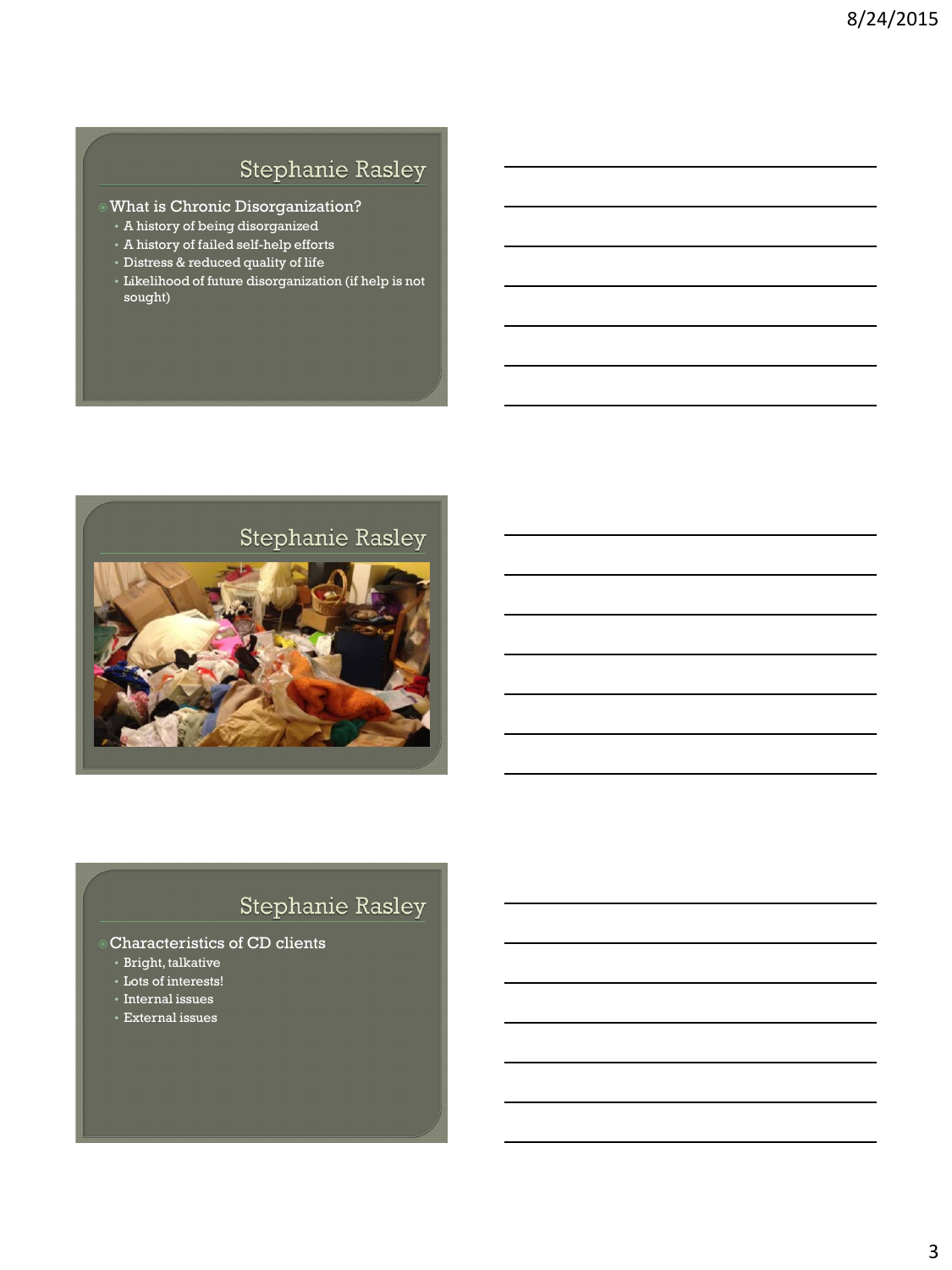# **Stephanie Rasley**

- What is Chronic Disorganization?
- A history of being disorganized
- A history of failed self-help efforts
- Distress & reduced quality of life
- Likelihood of future disorganization (if help is not sought)

# Stephanie Rasley



# **Stephanie Rasley**

#### Characteristics of CD clients

- Bright, talkative
- Lots of interests!
- Internal issues
- External issues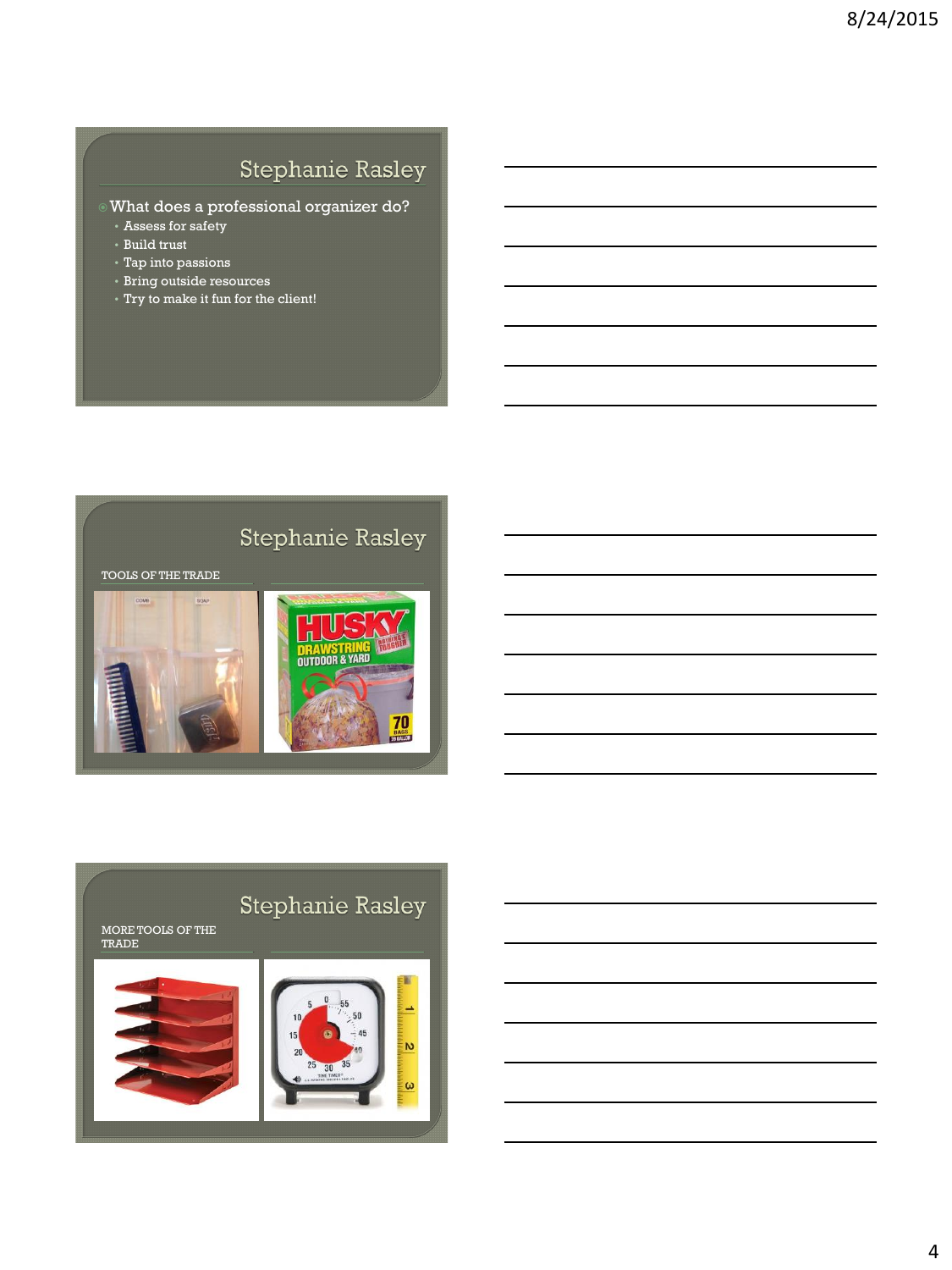# **Stephanie Rasley**

- What does a professional organizer do?
	- Assess for safety
- Build trust
- Tap into passions
- Bring outside resources
- Try to make it fun for the client!



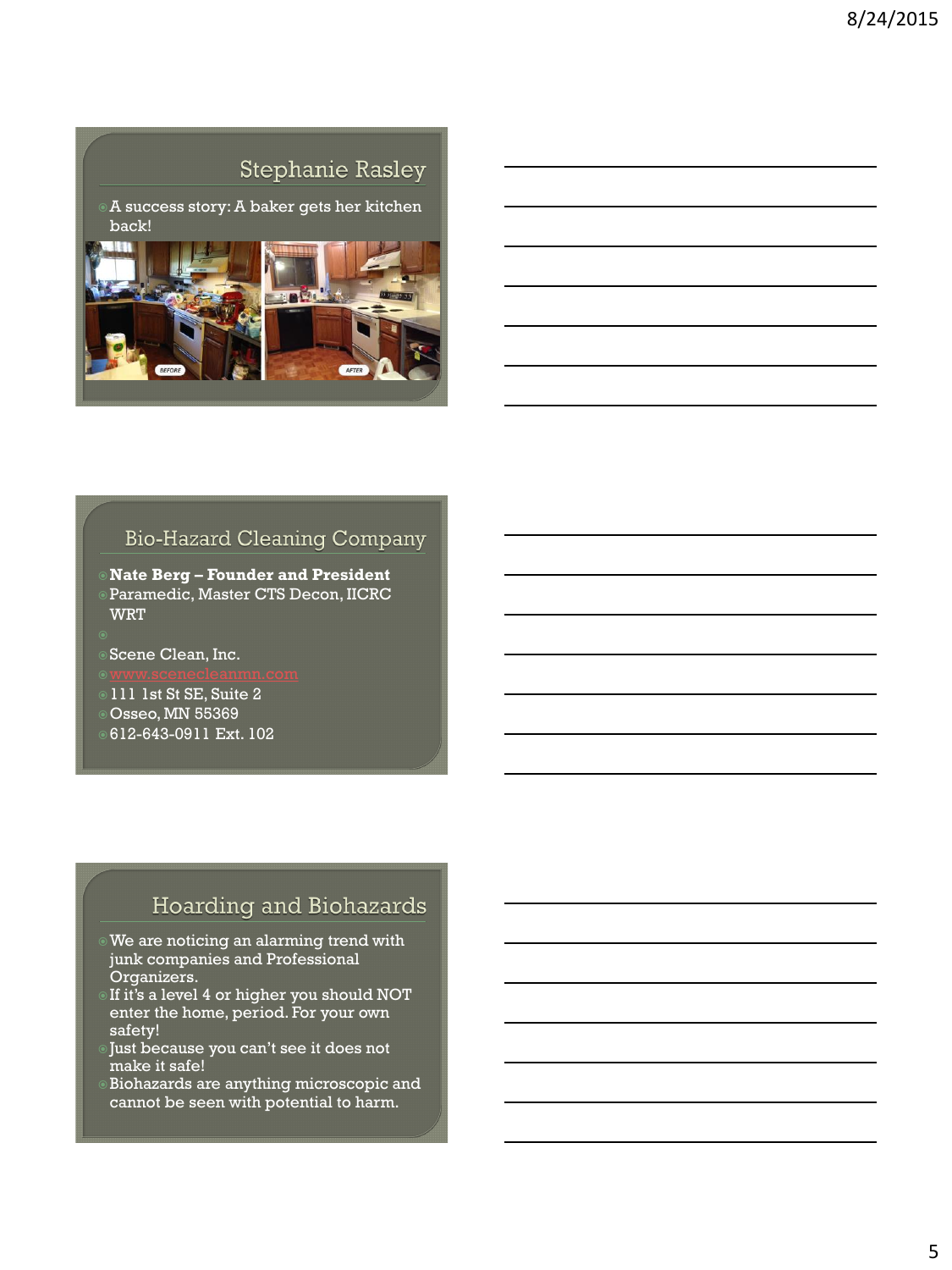### **Stephanie Rasley**

A success story: A baker gets her kitchen back!



### **Bio-Hazard Cleaning Company**

- **Nate Berg – Founder and President** Paramedic, Master CTS Decon, IICRC **WRT**
- Scene Clean, Inc.
- 
- 111 1st St SE, Suite 2
- Osseo, MN 55369
- 612-643-0911 Ext. 102

### Hoarding and Biohazards

- We are noticing an alarming trend with junk companies and Professional Organizers.
- If it's a level 4 or higher you should NOT enter the home, period. For your own safety!
- Just because you can't see it does not make it safe!
- Biohazards are anything microscopic and cannot be seen with potential to harm.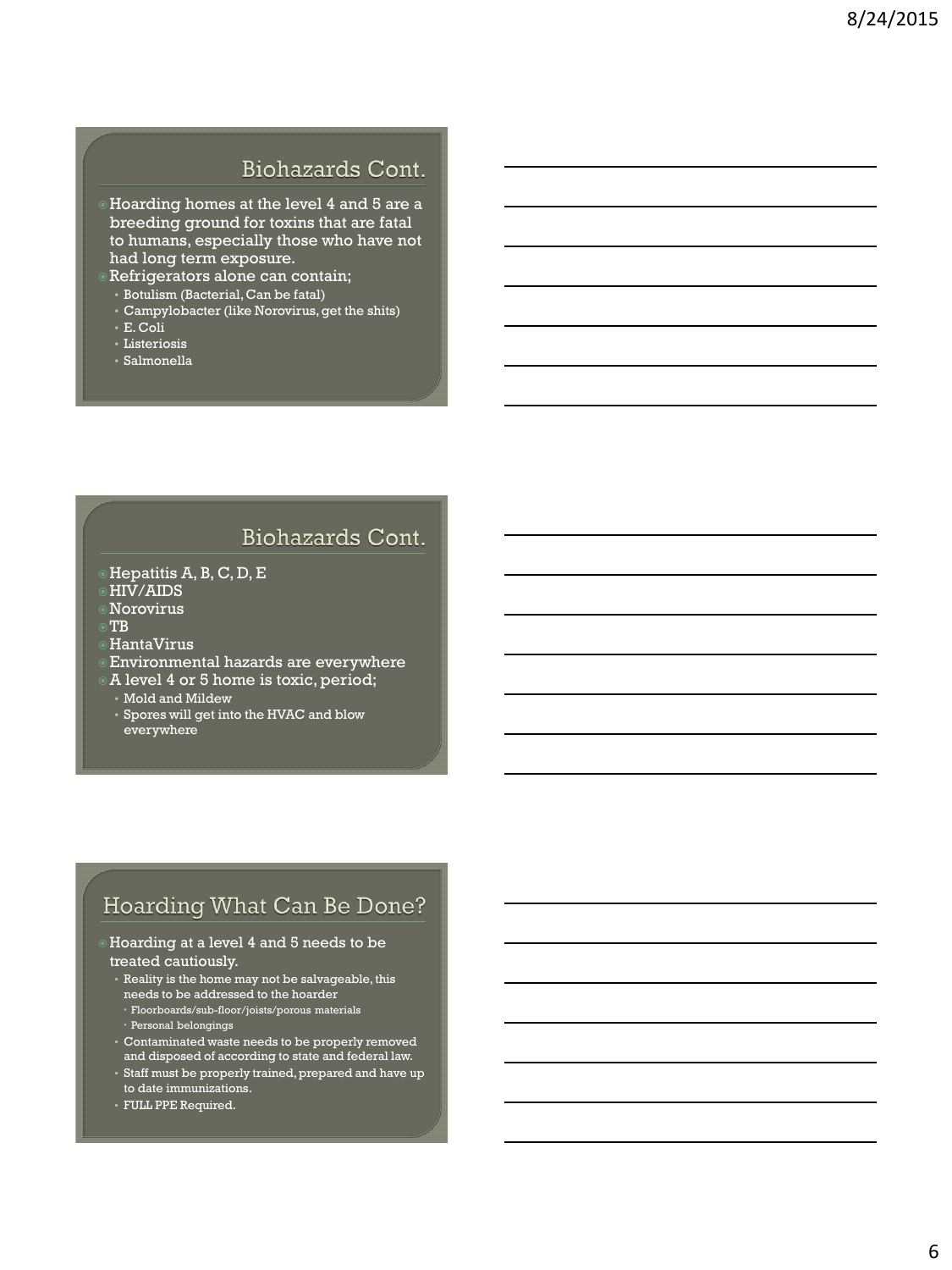## Biohazards Cont.

Hoarding homes at the level 4 and 5 are a breeding ground for toxins that are fatal to humans, especially those who have not had long term exposure.

- Refrigerators alone can contain;
- Botulism (Bacterial, Can be fatal)
- Campylobacter (like Norovirus, get the shits)
- E. Coli
- Listeriosis
- Salmonella

### **Biohazards Cont.**

- Hepatitis A, B, C, D, E
- HIV/AIDS
- Norovirus
- TB
- HantaVirus
- Environmental hazards are everywhere
- A level 4 or 5 home is toxic, period;
- Mold and Mildew
- Spores will get into the HVAC and blow everywhere

#### Hoarding What Can Be Done?

#### Hoarding at a level 4 and 5 needs to be treated cautiously.

- Reality is the home may not be salvageable, this needs to be addressed to the hoarder Floorboards/sub-floor/joists/porous materials
	- Personal belongings
- Contaminated waste needs to be properly removed and disposed of according to state and federal law.
- Staff must be properly trained, prepared and have up to date immunizations.
- FULL PPE Required.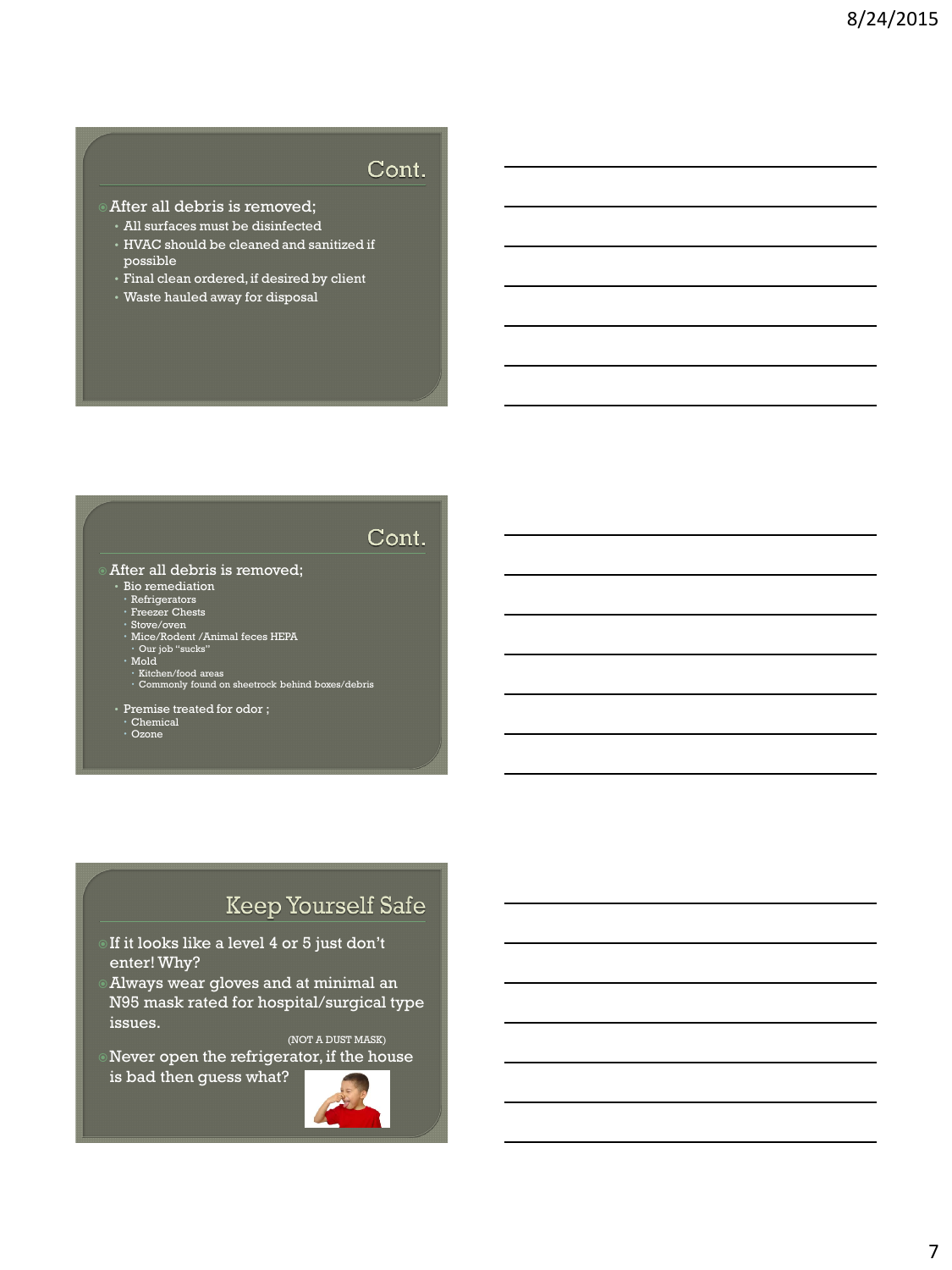### Cont.

- After all debris is removed;
	- All surfaces must be disinfected
- HVAC should be cleaned and sanitized if possible
- Final clean ordered, if desired by client
- Waste hauled away for disposal

## Cont.

#### After all debris is removed;

- 
- Bio remediation Refrigerators Freezer Chests
- 
- Stove/oven<br>• Mice/Rodent /Animal feces HEPA<br>• Our job "sucks"<br>• Mold
- 
- 
- Kitchen/food areas<br>• Commonly found on sheetrock behind boxes/debris
- Premise treated for odor ;
- Chemical Ozone
- 

## **Keep Yourself Safe**

- If it looks like a level 4 or 5 just don't enter! Why?
- Always wear gloves and at minimal an N95 mask rated for hospital/surgical type issues.

(NOT A DUST MASK)

Never open the refrigerator, if the house is bad then guess what?

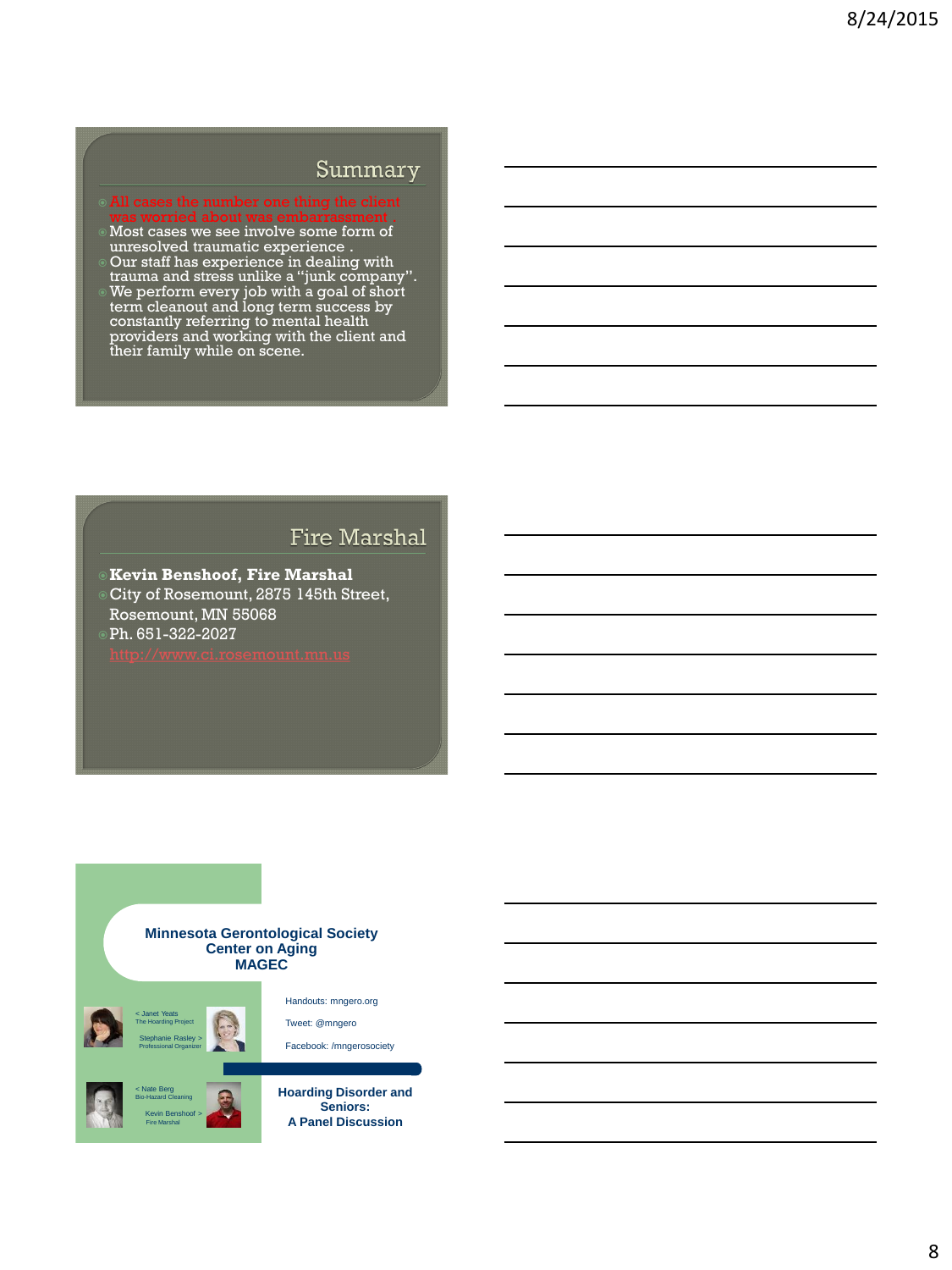#### Summary

- All cases the number one thing the client
- Most cases we see involve some form of unresolved traumatic experience .
- Our staff has experience in dealing with trauma and stress unlike a "junk company". We perform every job with a goal of short term cleanout and long term success by constantly referring to mental health providers and working with the client and their family while on scene.

#### **Fire Marshal**

**Kevin Benshoof, Fire Marshal** City of Rosemount, 2875 145th Street,

Rosemount, MN 55068 Ph. 651-322-2027

#### **Minnesota Gerontological Society Center on Aging MAGEC**

< Janet Yeats The Hoarding Project









**Hoarding Disorder and Seniors: A Panel Discussion**

Handouts: mngero.org Tweet: @mngero Facebook: /mngerosociety